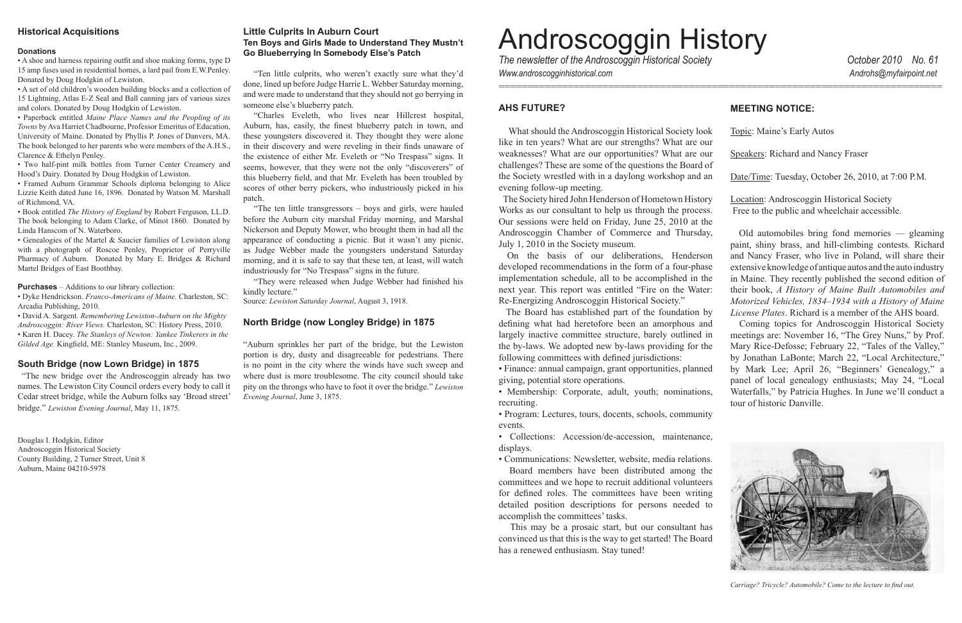• Membership: Corporate, adult, youth; nominations recruiting.

• Program: Lectures, tours, docents, schools, community events.

• Collections: Accession/de-accession, maintenance, displays.

• Communications: Newsletter, website, media relations.

Board members have been distributed among the committees and we hope to recruit additional volunteers for defined roles. The committees have been writing detailed position descriptions for persons needed to accomplish the committees' tasks.

This may be a prosaic start, but our consultant has convinced us that this is the way to get started! The Board has a renewed enthusiasm. Stay tuned!

## **MEETING NOTICE:**

# Androscoggin History *The\$newsletter\$of\$the\$Androscoggin\$Historical\$Society\$\$\$\$\$\$\$\$\$\$\$\$\$\$\$\$\$\$\$\$\$\$\$\$\$\$\$\$\$\$\$\$\$\$\$\$\$\$\$\$\$\$\$\$\$\$\$\$\$\$\$\$\$\$October\$2010\$\$\$\$No.\$61*

"Charles Eveleth, who lives near Hillcrest hospital, Auburn, has, easily, the finest blueberry patch in town, and these youngsters discovered it. They thought they were alone in their discovery and were reveling in their finds unaware of the existence of either Mr. Eveleth or "No Trespass" signs. It seems, however, that they were not the only "discoverers" of this blueberry field, and that Mr. Eveleth has been troubled by scores of other berry pickers, who industriously picked in his patch.

"The ten little transgressors  $-$  boys and girls, were hauled before the Auburn city marshal Friday morning, and Marshal Nickerson and Deputy Mower, who brought them in had all the appearance of conducting a picnic. But it wasn't any picnic, as Judge Webber made the youngsters understand Saturday morning, and it is safe to say that these ten, at least, will watch industriously for "No Trespass" signs in the future.

"They were released when Judge Webber had finished his kindly lecture."

Source: Lewiston Saturday Journal, August 3, 1918.

### **North Bridge (now Longley Bridge) in 1875**

"Auburn sprinkles her part of the bridge, but the Lewiston portion is dry, dusty and disagreeable for pedestrians. There is no point in the city where the winds have such sweep and where dust is more troublesome. The city council should take pity on the throngs who have to foot it over the bridge." *Lewiston Evening Journal*, June 3, 1875.

*Www.androscogginhistorical.com\$\$\$\$\$\$\$\$\$\$\$\$\$\$\$\$\$\$\$\$\$\$\$\$\$\$\$\$\$\$\$\$\$\$\$\$\$\$\$\$\$\$\$\$\$\$\$\$\$\$\$\$\$\$\$\$ \$\$\$\$\$\$\$\$\$\$\$\$\$\$\$\$\$\$\$\$\$\$\$\$\$\$\$\$\$\$\$\$\$\$\$\$\$\$\$\$\$\$\$\$\$Androhs@myfairpoint.net*

## **AHS FUTURE?**

What should the Androscoggin Historical Society look like in ten years? What are our strengths? What are our weaknesses? What are our opportunities? What are our challenges? These are some of the questions the Board of the Society wrestled with in a daylong workshop and a evening follow-up meeting.

The Society hired John Henderson of Hometown Histor Works as our consultant to help us through the proces Our sessions were held on Friday, June 25, 2010 at the Androscoggin Chamber of Commerce and Thursday July 1, 2010 in the Society museum.

On the basis of our deliberations, Henderson developed recommendations in the form of a four-phase implementation schedule, all to be accomplished in the next year. This report was entitled "Fire on the Water Re-Energizing Androscoggin Historical Society."

The Board has established part of the foundation by defining what had heretofore been an amorphous an largely inactive committee structure, barely outlined the by-laws. We adopted new by-laws providing for the following committees with defined jurisdictions:

• Finance: annual campaign, grant opportunities, planne giving, potential store operations.

=============================================================================

| λk<br>ur       | Topic: Maine's Early Autos                                                                                    |
|----------------|---------------------------------------------------------------------------------------------------------------|
| ur<br>эf       | <b>Speakers: Richard and Nancy Fraser</b>                                                                     |
| $\mathfrak{m}$ | Date/Time: Tuesday, October 26, 2010, at 7:00 P.M.                                                            |
| ry<br>S.<br>ie | <b>Location:</b> Androscoggin Historical Society<br>Free to the public and wheelchair accessible.             |
| y,             | Old automobiles bring fond memories — gleaming<br>paint, shiny brass, and hill-climbing contests. Richard     |
| 'n             | and Nancy Fraser, who live in Poland, will share their                                                        |
| se             | extensive knowledge of antique autos and the auto industry                                                    |
| ie             | in Maine. They recently published the second edition of                                                       |
| r:             | their book, A History of Maine Built Automobiles and<br>Motorized Vehicles, 1834-1934 with a History of Maine |
| уy             | <i>License Plates.</i> Richard is a member of the AHS board.                                                  |
| ıd             | Coming topics for Androscoggin Historical Society                                                             |
| in             | meetings are: November 16, "The Grey Nuns," by Prof.                                                          |
| ıe             | Mary Rice-Defosse; February 22, "Tales of the Valley,"                                                        |
|                | by Jonathan LaBonte; March 22, "Local Architecture,"                                                          |
| ed             | by Mark Lee; April 26, "Beginners' Genealogy," a                                                              |
|                | panel of local genealogy enthusiasts; May 24, "Local                                                          |
| S,             | Waterfalls," by Patricia Hughes. In June we'll conduct a                                                      |
|                | tour of historic Danville.                                                                                    |
|                |                                                                                                               |



Carriage? Tricycle? Automobile? Come to the lecture to find out.

#### **Historical\$Acquisitions**

#### **Donations**

• A shoe and harness repairing outfit and shoe making forms, type D 15 amp fuses used in residential homes, a lard pail from E.W.Penley. Donated by Doug Hodgkin of Lewiston.

• A set of old children's wooden building blocks and a collection of 15 Lightning, Atlas E-Z Seal and Ball canning jars of various sizes and colors. Donated by Doug Hodgkin of Lewiston.

• Paperback entitled *Maine Place Names and the Peopling of its Towns* by Ava Harriet Chadbourne, Professor Emeritus of Education, University of Maine. Donated by Phyllis P. Jones of Danvers, MA. The book belonged to her parents who were members of the A.H.S., Clarence  $&$  Ethelyn Penley.

• Two half-pint milk bottles from Turner Center Creamery and Hood's Dairy. Donated by Doug Hodgkin of Lewiston.

• Framed Auburn Grammar Schools diploma belonging to Alice Lizzie Keith dated June 16, 1896. Donated by Watson M. Marshall of Richmond, VA.

 $\bullet$  Book entitled *The History of England* by Robert Ferguson, LL.D. The book belonging to Adam Clarke, of Minot 1860. Donated by Linda Hanscom of N. Waterboro.

• Genealogies of the Martel  $&$  Saucier families of Lewiston along with a photograph of Roscoe Penley, Proprietor of Perryville Pharmacy of Auburn. Donated by Mary E. Bridges & Richard Martel Bridges of East Boothbay.

**Purchases** – Additions to our library collection:

• Dyke Hendrickson. Franco-Americans of Maine. Charleston, SC: Arcadia Publishing, 2010.

 $\cdot$  David A. Sargent. Remembering Lewiston-Auburn on the Mighty *Androscoggin: River Views. Charleston, SC: History Press, 2010.* • Karen H. Dacey. The Stanleys of Newton: Yankee Tinkerers in the *Gilded Age.* Kingfield, ME: Stanley Museum, Inc., 2009.

#### **South Bridge (now Lown Bridge) in 1875**

"The new bridge over the Androscoggin already has two names. The Lewiston City Council orders every body to call it Cedar street bridge, while the Auburn folks say 'Broad street' bridge." *Lewiston Evening Journal*, May 11, 1875.

Douglas I. Hodgkin, Editor Androscoggin Historical Society County Building, 2 Turner Street, Unit 8 Auburn, Maine 04210-5978

#### **Little Culprits In Auburn Court** Ten Boys and Girls Made to Understand They Mustn't **Go Blueberrying In Somebody Else's Patch**

"Ten little culprits, who weren't exactly sure what they'd done, lined up before Judge Harrie L. Webber Saturday morning, and were made to understand that they should not go berrying in someone else's blueberry patch.